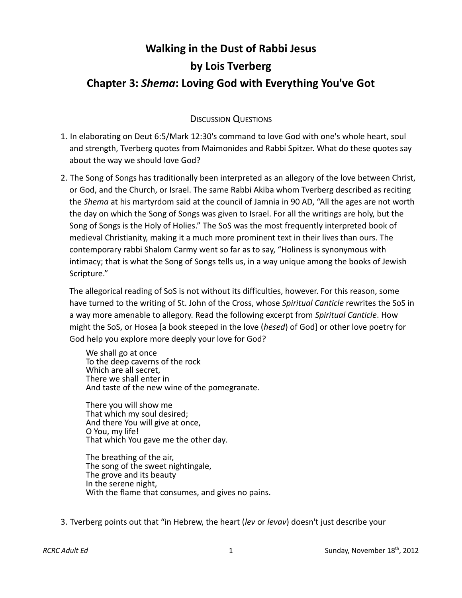## **Walking in the Dust of Rabbi Jesus by Lois Tverberg Chapter 3:** *Shema***: Loving God with Everything You've Got**

## DISCUSSION QUESTIONS

- 1. In elaborating on Deut 6:5/Mark 12:30's command to love God with one's whole heart, soul and strength, Tverberg quotes from Maimonides and Rabbi Spitzer. What do these quotes say about the way we should love God?
- 2. The Song of Songs has traditionally been interpreted as an allegory of the love between Christ, or God, and the Church, or Israel. The same Rabbi Akiba whom Tverberg described as reciting the *Shema* at his martyrdom said at the council of Jamnia in 90 AD, "All the ages are not worth the day on which the Song of Songs was given to Israel. For all the writings are holy, but the Song of Songs is the Holy of Holies." The SoS was the most frequently interpreted book of medieval Christianity, making it a much more prominent text in their lives than ours. The contemporary rabbi Shalom Carmy went so far as to say, "Holiness is synonymous with intimacy; that is what the Song of Songs tells us, in a way unique among the books of Jewish Scripture."

The allegorical reading of SoS is not without its difficulties, however. For this reason, some have turned to the writing of St. John of the Cross, whose *Spiritual Canticle* rewrites the SoS in a way more amenable to allegory. Read the following excerpt from *Spiritual Canticle*. How might the SoS, or Hosea [a book steeped in the love (*hesed*) of God] or other love poetry for God help you explore more deeply your love for God?

We shall go at once To the deep caverns of the rock Which are all secret, There we shall enter in And taste of the new wine of the pomegranate.

There you will show me That which my soul desired; And there You will give at once, O You, my life! That which You gave me the other day.

The breathing of the air, The song of the sweet nightingale, The grove and its beauty In the serene night, With the flame that consumes, and gives no pains.

3. Tverberg points out that "in Hebrew, the heart (*lev* or *levav*) doesn't just describe your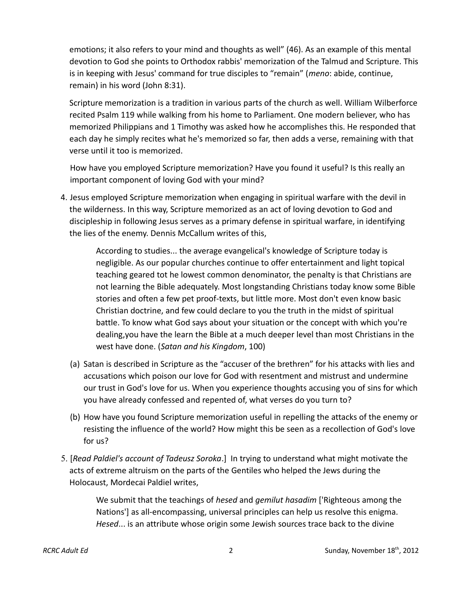emotions; it also refers to your mind and thoughts as well" (46). As an example of this mental devotion to God she points to Orthodox rabbis' memorization of the Talmud and Scripture. This is in keeping with Jesus' command for true disciples to "remain" (*meno*: abide, continue, remain) in his word (John 8:31).

Scripture memorization is a tradition in various parts of the church as well. William Wilberforce recited Psalm 119 while walking from his home to Parliament. One modern believer, who has memorized Philippians and 1 Timothy was asked how he accomplishes this. He responded that each day he simply recites what he's memorized so far, then adds a verse, remaining with that verse until it too is memorized.

How have you employed Scripture memorization? Have you found it useful? Is this really an important component of loving God with your mind?

 4. Jesus employed Scripture memorization when engaging in spiritual warfare with the devil in the wilderness. In this way, Scripture memorized as an act of loving devotion to God and discipleship in following Jesus serves as a primary defense in spiritual warfare, in identifying the lies of the enemy. Dennis McCallum writes of this,

According to studies... the average evangelical's knowledge of Scripture today is negligible. As our popular churches continue to offer entertainment and light topical teaching geared tot he lowest common denominator, the penalty is that Christians are not learning the Bible adequately. Most longstanding Christians today know some Bible stories and often a few pet proof-texts, but little more. Most don't even know basic Christian doctrine, and few could declare to you the truth in the midst of spiritual battle. To know what God says about your situation or the concept with which you're dealing,you have the learn the Bible at a much deeper level than most Christians in the west have done. (*Satan and his Kingdom*, 100)

- (a) Satan is described in Scripture as the "accuser of the brethren" for his attacks with lies and accusations which poison our love for God with resentment and mistrust and undermine our trust in God's love for us. When you experience thoughts accusing you of sins for which you have already confessed and repented of, what verses do you turn to?
- (b) How have you found Scripture memorization useful in repelling the attacks of the enemy or resisting the influence of the world? How might this be seen as a recollection of God's love for us?
- 5. [*Read Paldiel's account of Tadeusz Soroka*.] In trying to understand what might motivate the acts of extreme altruism on the parts of the Gentiles who helped the Jews during the Holocaust, Mordecai Paldiel writes,

We submit that the teachings of *hesed* and *gemilut hasadim* ['Righteous among the Nations'] as all-encompassing, universal principles can help us resolve this enigma. *Hesed*... is an attribute whose origin some Jewish sources trace back to the divine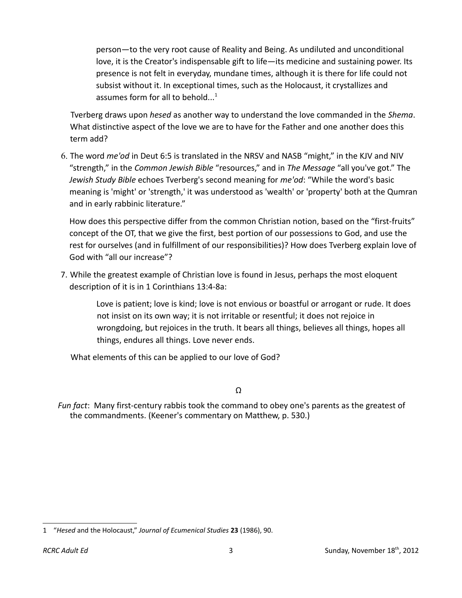person—to the very root cause of Reality and Being. As undiluted and unconditional love, it is the Creator's indispensable gift to life—its medicine and sustaining power. Its presence is not felt in everyday, mundane times, although it is there for life could not subsist without it. In exceptional times, such as the Holocaust, it crystallizes and assumes form for all to behold... $<sup>1</sup>$  $<sup>1</sup>$  $<sup>1</sup>$ </sup>

Tverberg draws upon *hesed* as another way to understand the love commanded in the *Shema*. What distinctive aspect of the love we are to have for the Father and one another does this term add?

 6. The word *me'od* in Deut 6:5 is translated in the NRSV and NASB "might," in the KJV and NIV "strength," in the *Common Jewish Bible* "resources," and in *The Message* "all you've got." The *Jewish Study Bible* echoes Tverberg's second meaning for *me'od*: "While the word's basic meaning is 'might' or 'strength,' it was understood as 'wealth' or 'property' both at the Qumran and in early rabbinic literature."

How does this perspective differ from the common Christian notion, based on the "first-fruits" concept of the OT, that we give the first, best portion of our possessions to God, and use the rest for ourselves (and in fulfillment of our responsibilities)? How does Tverberg explain love of God with "all our increase"?

 7. While the greatest example of Christian love is found in Jesus, perhaps the most eloquent description of it is in 1 Corinthians 13:4-8a:

> Love is patient; love is kind; love is not envious or boastful or arrogant or rude. It does not insist on its own way; it is not irritable or resentful; it does not rejoice in wrongdoing, but rejoices in the truth. It bears all things, believes all things, hopes all things, endures all things. Love never ends.

What elements of this can be applied to our love of God?

Ω

*Fun fact*: Many first-century rabbis took the command to obey one's parents as the greatest of the commandments. (Keener's commentary on Matthew, p. 530.)

<span id="page-2-0"></span><sup>1</sup> "*Hesed* and the Holocaust," *Journal of Ecumenical Studies* **23** (1986), 90.